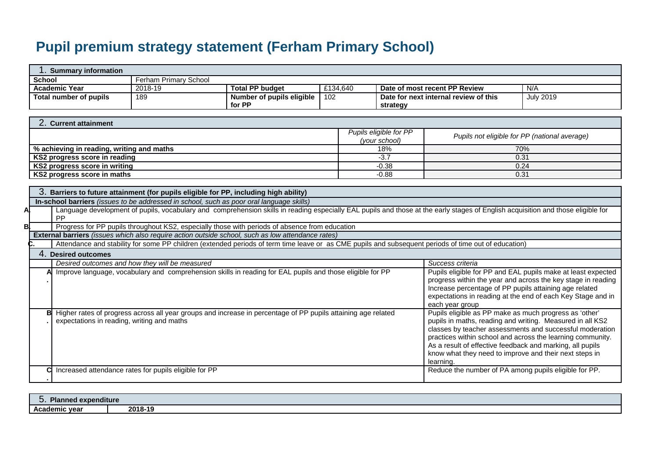## **Pupil premium strategy statement (Ferham Primary School)**

| 1. Summary information                                                                            |                                                                                                               |                                  |          |                                         |                                                                                                                                                                                  |                                                              |
|---------------------------------------------------------------------------------------------------|---------------------------------------------------------------------------------------------------------------|----------------------------------|----------|-----------------------------------------|----------------------------------------------------------------------------------------------------------------------------------------------------------------------------------|--------------------------------------------------------------|
| <b>School</b>                                                                                     | Ferham Primary School                                                                                         |                                  |          |                                         |                                                                                                                                                                                  |                                                              |
| <b>Academic Year</b>                                                                              | 2018-19                                                                                                       | <b>Total PP budget</b>           | £134,640 |                                         | Date of most recent PP Review                                                                                                                                                    | N/A                                                          |
| <b>Total number of pupils</b>                                                                     | 189                                                                                                           | <b>Number of pupils eligible</b> | 102      |                                         | Date for next internal review of this                                                                                                                                            | <b>July 2019</b>                                             |
|                                                                                                   |                                                                                                               | for PP                           |          | strategy                                |                                                                                                                                                                                  |                                                              |
|                                                                                                   |                                                                                                               |                                  |          |                                         |                                                                                                                                                                                  |                                                              |
| 2. Current attainment                                                                             |                                                                                                               |                                  |          |                                         |                                                                                                                                                                                  |                                                              |
|                                                                                                   |                                                                                                               |                                  |          | Pupils eligible for PP<br>(your school) |                                                                                                                                                                                  | Pupils not eligible for PP (national average)                |
| % achieving in reading, writing and maths                                                         |                                                                                                               |                                  |          | 18%                                     |                                                                                                                                                                                  | 70%                                                          |
| KS2 progress score in reading                                                                     |                                                                                                               |                                  |          | $-3.7$                                  |                                                                                                                                                                                  | 0.31                                                         |
| KS2 progress score in writing                                                                     |                                                                                                               |                                  |          | $-0.38$                                 |                                                                                                                                                                                  | 0.24                                                         |
| KS2 progress score in maths                                                                       |                                                                                                               |                                  |          | $-0.88$                                 |                                                                                                                                                                                  | 0.31                                                         |
|                                                                                                   |                                                                                                               |                                  |          |                                         |                                                                                                                                                                                  |                                                              |
|                                                                                                   | 3. Barriers to future attainment (for pupils eligible for PP, including high ability)                         |                                  |          |                                         |                                                                                                                                                                                  |                                                              |
| In-school barriers (issues to be addressed in school, such as poor oral language skills)          |                                                                                                               |                                  |          |                                         |                                                                                                                                                                                  |                                                              |
| PP                                                                                                |                                                                                                               |                                  |          |                                         | Language development of pupils, vocabulary and comprehension skills in reading especially EAL pupils and those at the early stages of English acquisition and those eligible for |                                                              |
| Bl.                                                                                               | Progress for PP pupils throughout KS2, especially those with periods of absence from education                |                                  |          |                                         |                                                                                                                                                                                  |                                                              |
| External barriers (issues which also require action outside school, such as low attendance rates) |                                                                                                               |                                  |          |                                         |                                                                                                                                                                                  |                                                              |
|                                                                                                   |                                                                                                               |                                  |          |                                         | Attendance and stability for some PP children (extended periods of term time leave or as CME pupils and subsequent periods of time out of education)                             |                                                              |
| 4. Desired outcomes                                                                               |                                                                                                               |                                  |          |                                         |                                                                                                                                                                                  |                                                              |
|                                                                                                   | Desired outcomes and how they will be measured                                                                |                                  |          |                                         | Success criteria                                                                                                                                                                 |                                                              |
|                                                                                                   | Improve language, vocabulary and comprehension skills in reading for EAL pupils and those eligible for PP     |                                  |          |                                         |                                                                                                                                                                                  | Pupils eligible for PP and EAL pupils make at least expected |
|                                                                                                   |                                                                                                               |                                  |          |                                         |                                                                                                                                                                                  | progress within the year and across the key stage in reading |
|                                                                                                   |                                                                                                               |                                  |          |                                         | Increase percentage of PP pupils attaining age related                                                                                                                           |                                                              |
|                                                                                                   |                                                                                                               |                                  |          |                                         |                                                                                                                                                                                  | expectations in reading at the end of each Key Stage and in  |
| в                                                                                                 |                                                                                                               |                                  |          |                                         | each year group<br>Pupils eligible as PP make as much progress as 'other'                                                                                                        |                                                              |
| expectations in reading, writing and maths                                                        | Higher rates of progress across all year groups and increase in percentage of PP pupils attaining age related |                                  |          |                                         | pupils in maths, reading and writing. Measured in all KS2                                                                                                                        |                                                              |
|                                                                                                   |                                                                                                               |                                  |          |                                         |                                                                                                                                                                                  | classes by teacher assessments and successful moderation     |
|                                                                                                   |                                                                                                               |                                  |          |                                         |                                                                                                                                                                                  | practices within school and across the learning community.   |
|                                                                                                   |                                                                                                               |                                  |          |                                         | As a result of effective feedback and marking, all pupils                                                                                                                        |                                                              |
|                                                                                                   |                                                                                                               |                                  |          |                                         | know what they need to improve and their next steps in                                                                                                                           |                                                              |
|                                                                                                   |                                                                                                               |                                  |          |                                         | learning.                                                                                                                                                                        |                                                              |
| r                                                                                                 | Increased attendance rates for pupils eligible for PP                                                         |                                  |          |                                         | Reduce the number of PA among pupils eligible for PP.                                                                                                                            |                                                              |
|                                                                                                   |                                                                                                               |                                  |          |                                         |                                                                                                                                                                                  |                                                              |

| הור<br>' expenditure<br>. |         |
|---------------------------|---------|
| Academic year             | 2018-19 |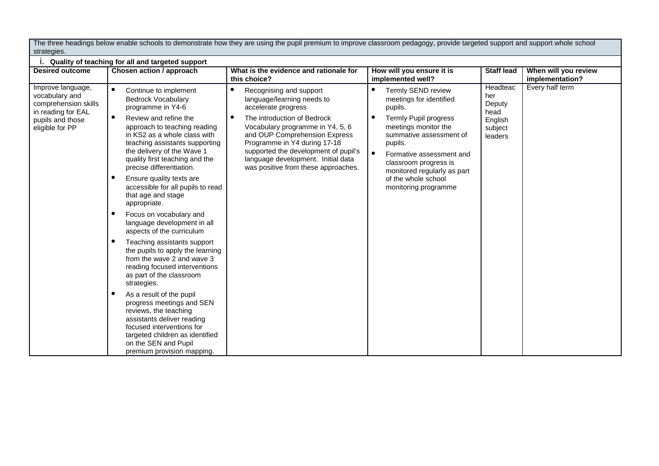The three headings below enable schools to demonstrate how they are using the pupil premium to improve classroom pedagogy, provide targeted support and support whole school strategies.

|                                                                                                                          | Quality of teaching for all and targeted support                                                                                                                                                                                                                                                            |                                                                                                                                                                                                                                                                                                                                       |                                                                                                                                                                                                                                                                    |                                                                    |                                         |
|--------------------------------------------------------------------------------------------------------------------------|-------------------------------------------------------------------------------------------------------------------------------------------------------------------------------------------------------------------------------------------------------------------------------------------------------------|---------------------------------------------------------------------------------------------------------------------------------------------------------------------------------------------------------------------------------------------------------------------------------------------------------------------------------------|--------------------------------------------------------------------------------------------------------------------------------------------------------------------------------------------------------------------------------------------------------------------|--------------------------------------------------------------------|-----------------------------------------|
| <b>Desired outcome</b>                                                                                                   | Chosen action / approach                                                                                                                                                                                                                                                                                    | What is the evidence and rationale for<br>this choice?                                                                                                                                                                                                                                                                                | How will you ensure it is<br>implemented well?                                                                                                                                                                                                                     | <b>Staff lead</b>                                                  | When will you review<br>implementation? |
| Improve language,<br>vocabulary and<br>comprehension skills<br>in reading for EAL<br>pupils and those<br>eligible for PP | Continue to implement<br><b>Bedrock Vocabulary</b><br>programme in Y4-6<br>$\bullet$<br>Review and refine the<br>approach to teaching reading<br>in KS2 as a whole class with<br>teaching assistants supporting<br>the delivery of the Wave 1<br>quality first teaching and the<br>precise differentiation. | Recognising and support<br>language/learning needs to<br>accelerate progress<br>The introduction of Bedrock<br>Vocabulary programme in Y4, 5, 6<br>and OUP Comprehension Express<br>Programme in Y4 during 17-18<br>supported the development of pupil's<br>language development. Initial data<br>was positive from these approaches. | ٠<br>Termly SEND review<br>meetings for identified<br>pupils.<br>$\bullet$<br>Termly Pupil progress<br>meetings monitor the<br>summative assessment of<br>pupils.<br>$\bullet$<br>Formative assessment and<br>classroom progress is<br>monitored regularly as part | Headteac<br>her<br>Deputy<br>head<br>English<br>subject<br>leaders | Every half term                         |
|                                                                                                                          | Ensure quality texts are<br>accessible for all pupils to read<br>that age and stage<br>appropriate.<br>Focus on vocabulary and<br>$\bullet$<br>language development in all<br>aspects of the curriculum                                                                                                     |                                                                                                                                                                                                                                                                                                                                       | of the whole school<br>monitoring programme                                                                                                                                                                                                                        |                                                                    |                                         |
|                                                                                                                          | Teaching assistants support<br>the pupils to apply the learning<br>from the wave 2 and wave 3<br>reading focused interventions<br>as part of the classroom<br>strategies.                                                                                                                                   |                                                                                                                                                                                                                                                                                                                                       |                                                                                                                                                                                                                                                                    |                                                                    |                                         |
|                                                                                                                          | $\bullet$<br>As a result of the pupil<br>progress meetings and SEN<br>reviews, the teaching<br>assistants deliver reading<br>focused interventions for<br>targeted children as identified<br>on the SEN and Pupil<br>premium provision mapping.                                                             |                                                                                                                                                                                                                                                                                                                                       |                                                                                                                                                                                                                                                                    |                                                                    |                                         |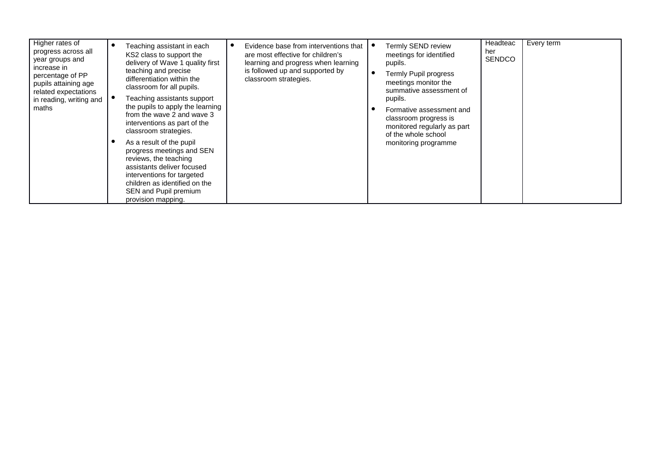| Higher rates of<br>progress across all<br>year groups and<br>increase in                    | Teaching assistant in each<br>KS2 class to support the<br>delivery of Wave 1 quality first<br>teaching and precise                                                                                                         | Evidence base from interventions that<br>are most effective for children's<br>learning and progress when learning<br>is followed up and supported by | Termly SEND review<br>meetings for identified<br>pupils.                                                | Headteac<br>her<br><b>SENDCO</b> | Every term |
|---------------------------------------------------------------------------------------------|----------------------------------------------------------------------------------------------------------------------------------------------------------------------------------------------------------------------------|------------------------------------------------------------------------------------------------------------------------------------------------------|---------------------------------------------------------------------------------------------------------|----------------------------------|------------|
| percentage of PP<br>pupils attaining age<br>related expectations<br>in reading, writing and | differentiation within the<br>classroom for all pupils.<br>Teaching assistants support                                                                                                                                     | classroom strategies.                                                                                                                                | Termly Pupil progress<br>meetings monitor the<br>summative assessment of<br>pupils.                     |                                  |            |
| maths                                                                                       | the pupils to apply the learning<br>from the wave 2 and wave 3<br>interventions as part of the<br>classroom strategies.                                                                                                    |                                                                                                                                                      | Formative assessment and<br>classroom progress is<br>monitored regularly as part<br>of the whole school |                                  |            |
|                                                                                             | As a result of the pupil<br>progress meetings and SEN<br>reviews, the teaching<br>assistants deliver focused<br>interventions for targeted<br>children as identified on the<br>SEN and Pupil premium<br>provision mapping. |                                                                                                                                                      | monitoring programme                                                                                    |                                  |            |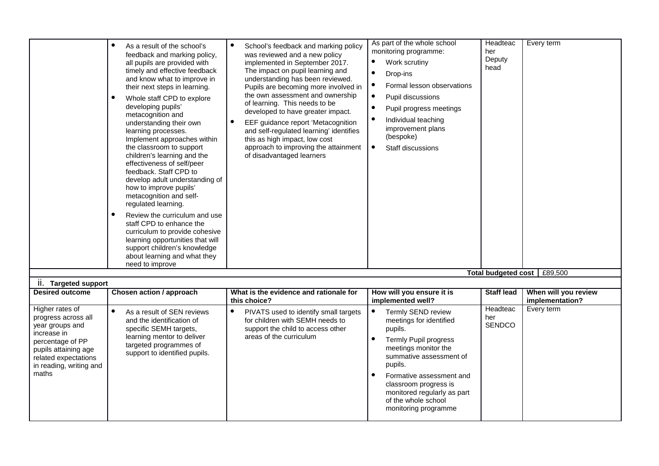|                                                                                                                                                                                  | $\bullet$<br>As a result of the school's<br>feedback and marking policy,<br>all pupils are provided with<br>timely and effective feedback<br>and know what to improve in<br>their next steps in learning.<br>Whole staff CPD to explore<br>developing pupils'<br>metacognition and<br>understanding their own<br>learning processes.<br>Implement approaches within<br>the classroom to support<br>children's learning and the<br>effectiveness of self/peer<br>feedback. Staff CPD to<br>develop adult understanding of<br>how to improve pupils'<br>metacognition and self-<br>regulated learning.<br>$\bullet$<br>Review the curriculum and use<br>staff CPD to enhance the<br>curriculum to provide cohesive<br>learning opportunities that will<br>support children's knowledge<br>about learning and what they<br>need to improve | $\bullet$<br>School's feedback and marking policy<br>was reviewed and a new policy<br>implemented in September 2017.<br>The impact on pupil learning and<br>understanding has been reviewed.<br>Pupils are becoming more involved in<br>the own assessment and ownership<br>of learning. This needs to be<br>developed to have greater impact.<br>EEF guidance report 'Metacognition<br>$\bullet$<br>and self-regulated learning' identifies<br>this as high impact, low cost<br>approach to improving the attainment<br>of disadvantaged learners | As part of the whole school<br>monitoring programme:<br>$\bullet$<br>Work scrutiny<br>$\bullet$<br>Drop-ins<br>Formal lesson observations<br>$\bullet$<br>Pupil discussions<br>$\bullet$<br>Pupil progress meetings<br>$\bullet$<br>Individual teaching<br>improvement plans<br>(bespoke)<br>$\bullet$<br>Staff discussions | Headteac<br>her<br>Deputy<br>head | Every term                              |
|----------------------------------------------------------------------------------------------------------------------------------------------------------------------------------|-----------------------------------------------------------------------------------------------------------------------------------------------------------------------------------------------------------------------------------------------------------------------------------------------------------------------------------------------------------------------------------------------------------------------------------------------------------------------------------------------------------------------------------------------------------------------------------------------------------------------------------------------------------------------------------------------------------------------------------------------------------------------------------------------------------------------------------------|----------------------------------------------------------------------------------------------------------------------------------------------------------------------------------------------------------------------------------------------------------------------------------------------------------------------------------------------------------------------------------------------------------------------------------------------------------------------------------------------------------------------------------------------------|-----------------------------------------------------------------------------------------------------------------------------------------------------------------------------------------------------------------------------------------------------------------------------------------------------------------------------|-----------------------------------|-----------------------------------------|
|                                                                                                                                                                                  |                                                                                                                                                                                                                                                                                                                                                                                                                                                                                                                                                                                                                                                                                                                                                                                                                                         |                                                                                                                                                                                                                                                                                                                                                                                                                                                                                                                                                    |                                                                                                                                                                                                                                                                                                                             |                                   | Total budgeted cost   £89,500           |
| ii. Targeted support                                                                                                                                                             |                                                                                                                                                                                                                                                                                                                                                                                                                                                                                                                                                                                                                                                                                                                                                                                                                                         |                                                                                                                                                                                                                                                                                                                                                                                                                                                                                                                                                    |                                                                                                                                                                                                                                                                                                                             |                                   |                                         |
| <b>Desired outcome</b>                                                                                                                                                           | Chosen action / approach                                                                                                                                                                                                                                                                                                                                                                                                                                                                                                                                                                                                                                                                                                                                                                                                                | What is the evidence and rationale for<br>this choice?                                                                                                                                                                                                                                                                                                                                                                                                                                                                                             | How will you ensure it is<br>implemented well?                                                                                                                                                                                                                                                                              | <b>Staff lead</b>                 | When will you review<br>implementation? |
| Higher rates of<br>progress across all<br>year groups and<br>increase in<br>percentage of PP<br>pupils attaining age<br>related expectations<br>in reading, writing and<br>maths | $\bullet$<br>As a result of SEN reviews<br>and the identification of<br>specific SEMH targets,<br>learning mentor to deliver<br>targeted programmes of<br>support to identified pupils.                                                                                                                                                                                                                                                                                                                                                                                                                                                                                                                                                                                                                                                 | $\bullet$<br>PIVATS used to identify small targets<br>for children with SEMH needs to<br>support the child to access other<br>areas of the curriculum                                                                                                                                                                                                                                                                                                                                                                                              | Termly SEND review<br>meetings for identified<br>pupils.<br><b>Termly Pupil progress</b><br>meetings monitor the<br>summative assessment of<br>pupils.<br>Formative assessment and<br>classroom progress is<br>monitored regularly as part<br>of the whole school                                                           | Headteac<br>her<br>SENDCO         | Every term                              |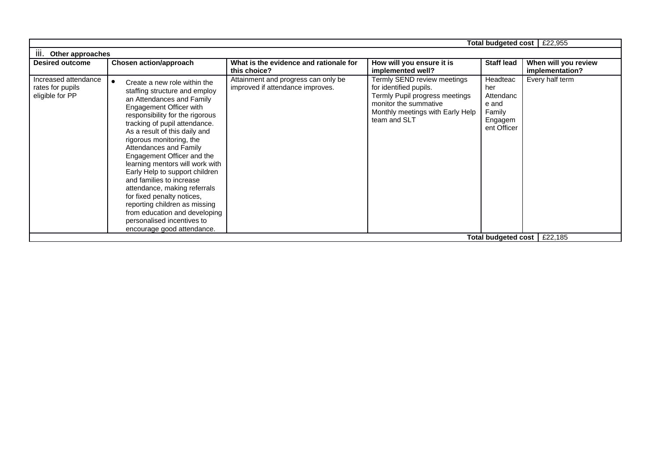|                                                             |                                                                                                                                                                                                                                                                                                                                                                                                                                                                                                                                                                                                             |                                                                         |                                                                                                                                                                      | Total budgeted cost                                                       | £22,955                                 |
|-------------------------------------------------------------|-------------------------------------------------------------------------------------------------------------------------------------------------------------------------------------------------------------------------------------------------------------------------------------------------------------------------------------------------------------------------------------------------------------------------------------------------------------------------------------------------------------------------------------------------------------------------------------------------------------|-------------------------------------------------------------------------|----------------------------------------------------------------------------------------------------------------------------------------------------------------------|---------------------------------------------------------------------------|-----------------------------------------|
| Ш.<br>Other approaches                                      |                                                                                                                                                                                                                                                                                                                                                                                                                                                                                                                                                                                                             |                                                                         |                                                                                                                                                                      |                                                                           |                                         |
| <b>Desired outcome</b>                                      | Chosen action/approach                                                                                                                                                                                                                                                                                                                                                                                                                                                                                                                                                                                      | What is the evidence and rationale for<br>this choice?                  | How will you ensure it is<br>implemented well?                                                                                                                       | <b>Staff lead</b>                                                         | When will you review<br>implementation? |
| Increased attendance<br>rates for pupils<br>eligible for PP | Create a new role within the<br>staffing structure and employ<br>an Attendances and Family<br>Engagement Officer with<br>responsibility for the rigorous<br>tracking of pupil attendance.<br>As a result of this daily and<br>rigorous monitoring, the<br>Attendances and Family<br>Engagement Officer and the<br>learning mentors will work with<br>Early Help to support children<br>and families to increase<br>attendance, making referrals<br>for fixed penalty notices,<br>reporting children as missing<br>from education and developing<br>personalised incentives to<br>encourage good attendance. | Attainment and progress can only be<br>improved if attendance improves. | Termly SEND review meetings<br>for identified pupils.<br>Termly Pupil progress meetings<br>monitor the summative<br>Monthly meetings with Early Help<br>team and SLT | Headteac<br>her<br>Attendanc<br>e and<br>Family<br>Engagem<br>ent Officer | Every half term                         |
|                                                             |                                                                                                                                                                                                                                                                                                                                                                                                                                                                                                                                                                                                             |                                                                         |                                                                                                                                                                      | Total budgeted cost                                                       | £22,185                                 |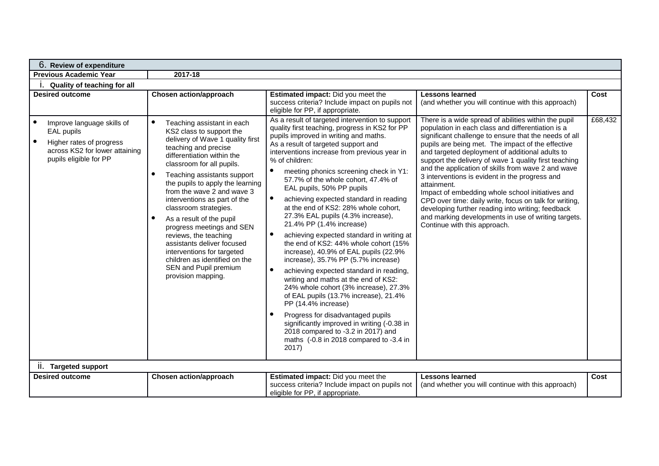| 6. Review of expenditure                                                                                                                                                             |                                                                                                                                                                                                                                                                                                                                                                                                                                                                                                                                                                                                                                        |                                                                                                                                                                                                                                                                                                                                                                                                                                                                                                                                                                                                                                                                                                                                                                                                                                                                                                                                                                                                                                                                                                                                                                                                                                                      |                                                                                                                                                                                                                                                                                                                                                                                                                                                                                                                                                                                                                                                                                                                                                                                                      |                 |
|--------------------------------------------------------------------------------------------------------------------------------------------------------------------------------------|----------------------------------------------------------------------------------------------------------------------------------------------------------------------------------------------------------------------------------------------------------------------------------------------------------------------------------------------------------------------------------------------------------------------------------------------------------------------------------------------------------------------------------------------------------------------------------------------------------------------------------------|------------------------------------------------------------------------------------------------------------------------------------------------------------------------------------------------------------------------------------------------------------------------------------------------------------------------------------------------------------------------------------------------------------------------------------------------------------------------------------------------------------------------------------------------------------------------------------------------------------------------------------------------------------------------------------------------------------------------------------------------------------------------------------------------------------------------------------------------------------------------------------------------------------------------------------------------------------------------------------------------------------------------------------------------------------------------------------------------------------------------------------------------------------------------------------------------------------------------------------------------------|------------------------------------------------------------------------------------------------------------------------------------------------------------------------------------------------------------------------------------------------------------------------------------------------------------------------------------------------------------------------------------------------------------------------------------------------------------------------------------------------------------------------------------------------------------------------------------------------------------------------------------------------------------------------------------------------------------------------------------------------------------------------------------------------------|-----------------|
| <b>Previous Academic Year</b>                                                                                                                                                        | 2017-18                                                                                                                                                                                                                                                                                                                                                                                                                                                                                                                                                                                                                                |                                                                                                                                                                                                                                                                                                                                                                                                                                                                                                                                                                                                                                                                                                                                                                                                                                                                                                                                                                                                                                                                                                                                                                                                                                                      |                                                                                                                                                                                                                                                                                                                                                                                                                                                                                                                                                                                                                                                                                                                                                                                                      |                 |
| Ouality of teaching for all                                                                                                                                                          |                                                                                                                                                                                                                                                                                                                                                                                                                                                                                                                                                                                                                                        |                                                                                                                                                                                                                                                                                                                                                                                                                                                                                                                                                                                                                                                                                                                                                                                                                                                                                                                                                                                                                                                                                                                                                                                                                                                      |                                                                                                                                                                                                                                                                                                                                                                                                                                                                                                                                                                                                                                                                                                                                                                                                      |                 |
| <b>Desired outcome</b><br>$\bullet$<br>Improve language skills of<br>EAL pupils<br>$\bullet$<br>Higher rates of progress<br>across KS2 for lower attaining<br>pupils eligible for PP | Chosen action/approach<br>$\bullet$<br>Teaching assistant in each<br>KS2 class to support the<br>delivery of Wave 1 quality first<br>teaching and precise<br>differentiation within the<br>classroom for all pupils.<br>Teaching assistants support<br>$\bullet$<br>the pupils to apply the learning<br>from the wave 2 and wave 3<br>interventions as part of the<br>classroom strategies.<br>As a result of the pupil<br>$\bullet$<br>progress meetings and SEN<br>reviews, the teaching<br>assistants deliver focused<br>interventions for targeted<br>children as identified on the<br>SEN and Pupil premium<br>provision mapping. | Estimated impact: Did you meet the<br>success criteria? Include impact on pupils not<br>eligible for PP, if appropriate.<br>As a result of targeted intervention to support<br>quality first teaching, progress in KS2 for PP<br>pupils improved in writing and maths.<br>As a result of targeted support and<br>interventions increase from previous year in<br>% of children:<br>$\bullet$<br>meeting phonics screening check in Y1:<br>57.7% of the whole cohort, 47.4% of<br>EAL pupils, 50% PP pupils<br>$\bullet$<br>achieving expected standard in reading<br>at the end of KS2: 28% whole cohort,<br>27.3% EAL pupils (4.3% increase),<br>21.4% PP (1.4% increase)<br>$\bullet$<br>achieving expected standard in writing at<br>the end of KS2: 44% whole cohort (15%<br>increase), 40.9% of EAL pupils (22.9%<br>increase), 35.7% PP (5.7% increase)<br>$\bullet$<br>achieving expected standard in reading,<br>writing and maths at the end of KS2:<br>24% whole cohort (3% increase), 27.3%<br>of EAL pupils (13.7% increase), 21.4%<br>PP (14.4% increase)<br>Progress for disadvantaged pupils<br>significantly improved in writing (-0.38 in<br>2018 compared to -3.2 in 2017) and<br>maths (-0.8 in 2018 compared to -3.4 in<br>2017) | <b>Lessons learned</b><br>(and whether you will continue with this approach)<br>There is a wide spread of abilities within the pupil<br>population in each class and differentiation is a<br>significant challenge to ensure that the needs of all<br>pupils are being met. The impact of the effective<br>and targeted deployment of additional adults to<br>support the delivery of wave 1 quality first teaching<br>and the application of skills from wave 2 and wave<br>3 interventions is evident in the progress and<br>attainment.<br>Impact of embedding whole school initiatives and<br>CPD over time: daily write, focus on talk for writing,<br>developing further reading into writing; feedback<br>and marking developments in use of writing targets.<br>Continue with this approach. | Cost<br>£68,432 |
| ii. Targeted support                                                                                                                                                                 |                                                                                                                                                                                                                                                                                                                                                                                                                                                                                                                                                                                                                                        |                                                                                                                                                                                                                                                                                                                                                                                                                                                                                                                                                                                                                                                                                                                                                                                                                                                                                                                                                                                                                                                                                                                                                                                                                                                      |                                                                                                                                                                                                                                                                                                                                                                                                                                                                                                                                                                                                                                                                                                                                                                                                      |                 |
| <b>Desired outcome</b>                                                                                                                                                               | Chosen action/approach                                                                                                                                                                                                                                                                                                                                                                                                                                                                                                                                                                                                                 | Estimated impact: Did you meet the<br>success criteria? Include impact on pupils not<br>eligible for PP, if appropriate.                                                                                                                                                                                                                                                                                                                                                                                                                                                                                                                                                                                                                                                                                                                                                                                                                                                                                                                                                                                                                                                                                                                             | <b>Lessons learned</b><br>(and whether you will continue with this approach)                                                                                                                                                                                                                                                                                                                                                                                                                                                                                                                                                                                                                                                                                                                         | Cost            |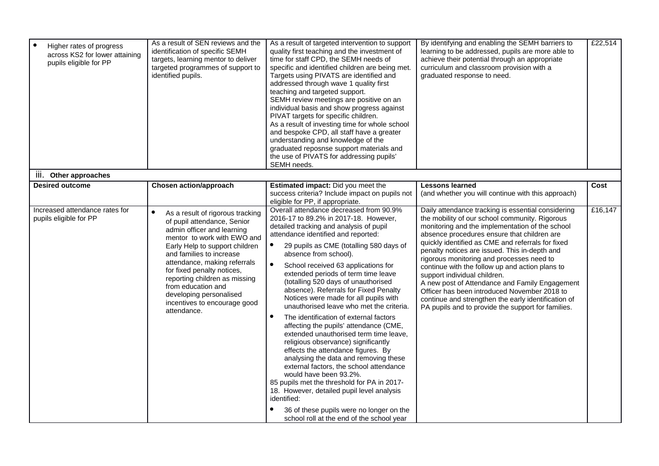| $\bullet$<br>Higher rates of progress<br>across KS2 for lower attaining<br>pupils eligible for PP | As a result of SEN reviews and the<br>identification of specific SEMH<br>targets, learning mentor to deliver<br>targeted programmes of support to<br>identified pupils.                                                                                                                                                                                                                   | As a result of targeted intervention to support<br>quality first teaching and the investment of<br>time for staff CPD, the SEMH needs of<br>specific and identified children are being met.<br>Targets using PIVATS are identified and<br>addressed through wave 1 quality first<br>teaching and targeted support.<br>SEMH review meetings are positive on an<br>individual basis and show progress against<br>PIVAT targets for specific children.<br>As a result of investing time for whole school<br>and bespoke CPD, all staff have a greater<br>understanding and knowledge of the<br>graduated reposnse support materials and<br>the use of PIVATS for addressing pupils'<br>SEMH needs.                                                                                                                                                                                                                                                                                                                                                                | By identifying and enabling the SEMH barriers to<br>learning to be addressed, pupils are more able to<br>achieve their potential through an appropriate<br>curriculum and classroom provision with a<br>graduated response to need.                                                                                                                                                                                                                                                                                                                                                                                                                         | £22,514 |
|---------------------------------------------------------------------------------------------------|-------------------------------------------------------------------------------------------------------------------------------------------------------------------------------------------------------------------------------------------------------------------------------------------------------------------------------------------------------------------------------------------|----------------------------------------------------------------------------------------------------------------------------------------------------------------------------------------------------------------------------------------------------------------------------------------------------------------------------------------------------------------------------------------------------------------------------------------------------------------------------------------------------------------------------------------------------------------------------------------------------------------------------------------------------------------------------------------------------------------------------------------------------------------------------------------------------------------------------------------------------------------------------------------------------------------------------------------------------------------------------------------------------------------------------------------------------------------|-------------------------------------------------------------------------------------------------------------------------------------------------------------------------------------------------------------------------------------------------------------------------------------------------------------------------------------------------------------------------------------------------------------------------------------------------------------------------------------------------------------------------------------------------------------------------------------------------------------------------------------------------------------|---------|
| Ш.<br>Other approaches                                                                            |                                                                                                                                                                                                                                                                                                                                                                                           |                                                                                                                                                                                                                                                                                                                                                                                                                                                                                                                                                                                                                                                                                                                                                                                                                                                                                                                                                                                                                                                                |                                                                                                                                                                                                                                                                                                                                                                                                                                                                                                                                                                                                                                                             |         |
| <b>Desired outcome</b>                                                                            | Chosen action/approach                                                                                                                                                                                                                                                                                                                                                                    | Estimated impact: Did you meet the<br>success criteria? Include impact on pupils not<br>eligible for PP, if appropriate.                                                                                                                                                                                                                                                                                                                                                                                                                                                                                                                                                                                                                                                                                                                                                                                                                                                                                                                                       | <b>Lessons learned</b><br>(and whether you will continue with this approach)                                                                                                                                                                                                                                                                                                                                                                                                                                                                                                                                                                                | Cost    |
| Increased attendance rates for<br>pupils eligible for PP                                          | As a result of rigorous tracking<br>of pupil attendance, Senior<br>admin officer and learning<br>mentor to work with EWO and<br>Early Help to support children<br>and families to increase<br>attendance, making referrals<br>for fixed penalty notices,<br>reporting children as missing<br>from education and<br>developing personalised<br>incentives to encourage good<br>attendance. | Overall attendance decreased from 90.9%<br>2016-17 to 89.2% in 2017-18. However,<br>detailed tracking and analysis of pupil<br>attendance identified and reported:<br>$\bullet$<br>29 pupils as CME (totalling 580 days of<br>absence from school).<br>$\bullet$<br>School received 63 applications for<br>extended periods of term time leave<br>(totalling 520 days of unauthorised<br>absence). Referrals for Fixed Penalty<br>Notices were made for all pupils with<br>unauthorised leave who met the criteria.<br>$\bullet$<br>The identification of external factors<br>affecting the pupils' attendance (CME,<br>extended unauthorised term time leave.<br>religious observance) significantly<br>effects the attendance figures. By<br>analysing the data and removing these<br>external factors, the school attendance<br>would have been 93.2%.<br>85 pupils met the threshold for PA in 2017-<br>18. However, detailed pupil level analysis<br>identified:<br>36 of these pupils were no longer on the<br>school roll at the end of the school year | Daily attendance tracking is essential considering<br>the mobility of our school community. Rigorous<br>monitoring and the implementation of the school<br>absence procedures ensure that children are<br>quickly identified as CME and referrals for fixed<br>penalty notices are issued. This in-depth and<br>rigorous monitoring and processes need to<br>continue with the follow up and action plans to<br>support individual children.<br>A new post of Attendance and Family Engagement<br>Officer has been introduced November 2018 to<br>continue and strengthen the early identification of<br>PA pupils and to provide the support for families. | £16,147 |